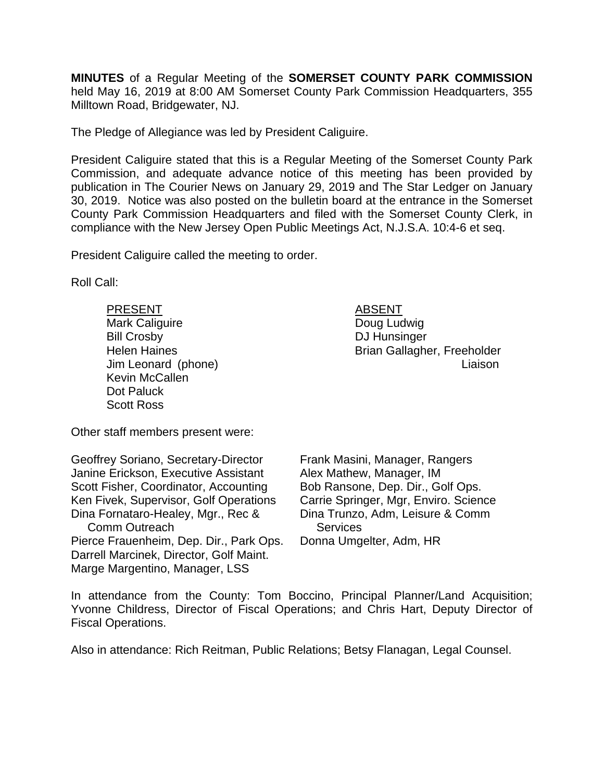**MINUTES** of a Regular Meeting of the **SOMERSET COUNTY PARK COMMISSION** held May 16, 2019 at 8:00 AM Somerset County Park Commission Headquarters, 355 Milltown Road, Bridgewater, NJ.

The Pledge of Allegiance was led by President Caliguire.

President Caliguire stated that this is a Regular Meeting of the Somerset County Park Commission, and adequate advance notice of this meeting has been provided by publication in The Courier News on January 29, 2019 and The Star Ledger on January 30, 2019. Notice was also posted on the bulletin board at the entrance in the Somerset County Park Commission Headquarters and filed with the Somerset County Clerk, in compliance with the New Jersey Open Public Meetings Act, N.J.S.A. 10:4-6 et seq.

President Caliguire called the meeting to order.

Roll Call:

PRESENT ABSENT Mark Caliguire **Doug Ludwig** Bill Crosby DJ Hunsinger Kevin McCallen Dot Paluck Scott Ross

Other staff members present were:

Geoffrey Soriano, Secretary-Director Janine Erickson, Executive Assistant Scott Fisher, Coordinator, Accounting Ken Fivek, Supervisor, Golf Operations Dina Fornataro-Healey, Mgr., Rec & Comm Outreach Pierce Frauenheim, Dep. Dir., Park Ops. Darrell Marcinek, Director, Golf Maint. Marge Margentino, Manager, LSS

Helen Haines **Brian Gallagher, Freeholder** Jim Leonard (phone) Liaison

> Frank Masini, Manager, Rangers Alex Mathew, Manager, IM Bob Ransone, Dep. Dir., Golf Ops. Carrie Springer, Mgr, Enviro. Science Dina Trunzo, Adm, Leisure & Comm **Services** Donna Umgelter, Adm, HR

In attendance from the County: Tom Boccino, Principal Planner/Land Acquisition; Yvonne Childress, Director of Fiscal Operations; and Chris Hart, Deputy Director of Fiscal Operations.

Also in attendance: Rich Reitman, Public Relations; Betsy Flanagan, Legal Counsel.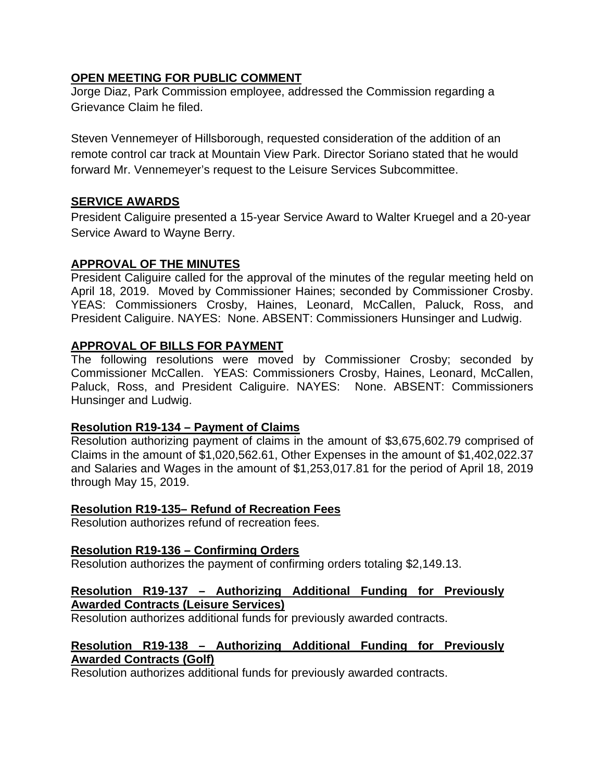# **OPEN MEETING FOR PUBLIC COMMENT**

Jorge Diaz, Park Commission employee, addressed the Commission regarding a Grievance Claim he filed.

Steven Vennemeyer of Hillsborough, requested consideration of the addition of an remote control car track at Mountain View Park. Director Soriano stated that he would forward Mr. Vennemeyer's request to the Leisure Services Subcommittee.

# **SERVICE AWARDS**

President Caliguire presented a 15-year Service Award to Walter Kruegel and a 20-year Service Award to Wayne Berry.

# **APPROVAL OF THE MINUTES**

President Caliguire called for the approval of the minutes of the regular meeting held on April 18, 2019. Moved by Commissioner Haines; seconded by Commissioner Crosby. YEAS: Commissioners Crosby, Haines, Leonard, McCallen, Paluck, Ross, and President Caliguire. NAYES: None. ABSENT: Commissioners Hunsinger and Ludwig.

# **APPROVAL OF BILLS FOR PAYMENT**

The following resolutions were moved by Commissioner Crosby; seconded by Commissioner McCallen. YEAS: Commissioners Crosby, Haines, Leonard, McCallen, Paluck, Ross, and President Caliguire. NAYES: None. ABSENT: Commissioners Hunsinger and Ludwig.

# **Resolution R19-134 – Payment of Claims**

Resolution authorizing payment of claims in the amount of \$3,675,602.79 comprised of Claims in the amount of \$1,020,562.61, Other Expenses in the amount of \$1,402,022.37 and Salaries and Wages in the amount of \$1,253,017.81 for the period of April 18, 2019 through May 15, 2019.

## **Resolution R19-135– Refund of Recreation Fees**

Resolution authorizes refund of recreation fees.

## **Resolution R19-136 – Confirming Orders**

Resolution authorizes the payment of confirming orders totaling \$2,149.13.

## **Resolution R19-137 – Authorizing Additional Funding for Previously Awarded Contracts (Leisure Services)**

Resolution authorizes additional funds for previously awarded contracts.

# **Resolution R19-138 – Authorizing Additional Funding for Previously Awarded Contracts (Golf)**

Resolution authorizes additional funds for previously awarded contracts.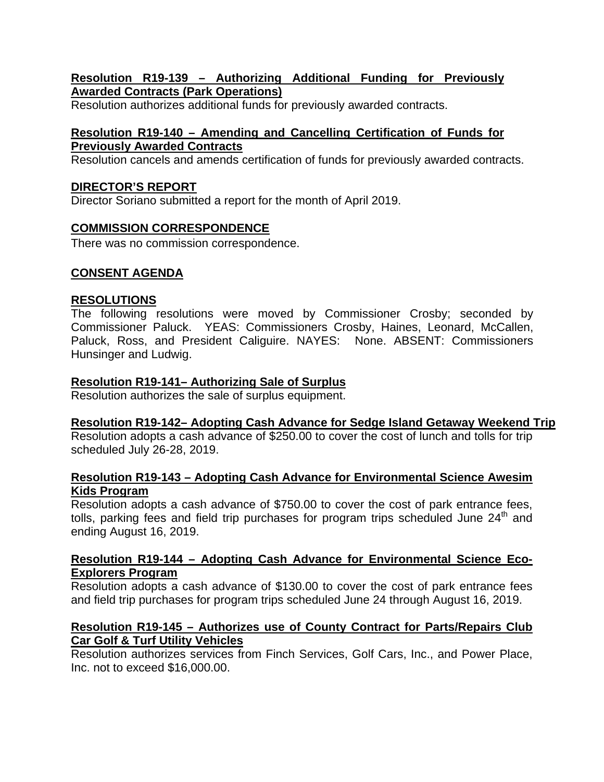## **Resolution R19-139 – Authorizing Additional Funding for Previously Awarded Contracts (Park Operations)**

Resolution authorizes additional funds for previously awarded contracts.

# **Resolution R19-140 – Amending and Cancelling Certification of Funds for Previously Awarded Contracts**

Resolution cancels and amends certification of funds for previously awarded contracts.

# **DIRECTOR'S REPORT**

Director Soriano submitted a report for the month of April 2019.

# **COMMISSION CORRESPONDENCE**

There was no commission correspondence.

# **CONSENT AGENDA**

# **RESOLUTIONS**

The following resolutions were moved by Commissioner Crosby; seconded by Commissioner Paluck. YEAS: Commissioners Crosby, Haines, Leonard, McCallen, Paluck, Ross, and President Caliguire. NAYES: None. ABSENT: Commissioners Hunsinger and Ludwig.

# **Resolution R19-141– Authorizing Sale of Surplus**

Resolution authorizes the sale of surplus equipment.

# **Resolution R19-142– Adopting Cash Advance for Sedge Island Getaway Weekend Trip**

Resolution adopts a cash advance of \$250.00 to cover the cost of lunch and tolls for trip scheduled July 26-28, 2019.

## **Resolution R19-143 – Adopting Cash Advance for Environmental Science Awesim Kids Program**

Resolution adopts a cash advance of \$750.00 to cover the cost of park entrance fees, tolls, parking fees and field trip purchases for program trips scheduled June  $24<sup>th</sup>$  and ending August 16, 2019.

## **Resolution R19-144 – Adopting Cash Advance for Environmental Science Eco-Explorers Program**

Resolution adopts a cash advance of \$130.00 to cover the cost of park entrance fees and field trip purchases for program trips scheduled June 24 through August 16, 2019.

## **Resolution R19-145 – Authorizes use of County Contract for Parts/Repairs Club Car Golf & Turf Utility Vehicles**

Resolution authorizes services from Finch Services, Golf Cars, Inc., and Power Place, Inc. not to exceed \$16,000.00.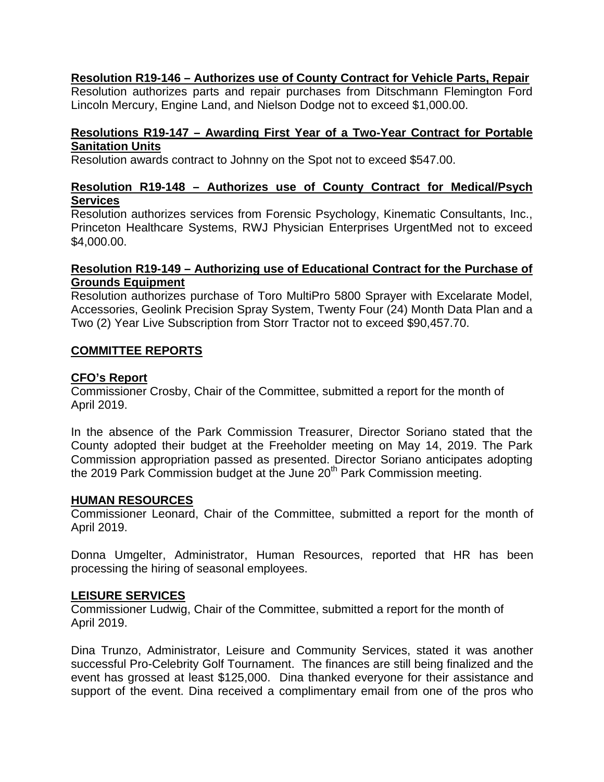# **Resolution R19-146 – Authorizes use of County Contract for Vehicle Parts, Repair**

Resolution authorizes parts and repair purchases from Ditschmann Flemington Ford Lincoln Mercury, Engine Land, and Nielson Dodge not to exceed \$1,000.00.

## **Resolutions R19-147 – Awarding First Year of a Two-Year Contract for Portable Sanitation Units**

Resolution awards contract to Johnny on the Spot not to exceed \$547.00.

## **Resolution R19-148 – Authorizes use of County Contract for Medical/Psych Services**

Resolution authorizes services from Forensic Psychology, Kinematic Consultants, Inc., Princeton Healthcare Systems, RWJ Physician Enterprises UrgentMed not to exceed \$4,000.00.

## **Resolution R19-149 – Authorizing use of Educational Contract for the Purchase of Grounds Equipment**

Resolution authorizes purchase of Toro MultiPro 5800 Sprayer with Excelarate Model, Accessories, Geolink Precision Spray System, Twenty Four (24) Month Data Plan and a Two (2) Year Live Subscription from Storr Tractor not to exceed \$90,457.70.

# **COMMITTEE REPORTS**

# **CFO's Report**

Commissioner Crosby, Chair of the Committee, submitted a report for the month of April 2019.

In the absence of the Park Commission Treasurer, Director Soriano stated that the County adopted their budget at the Freeholder meeting on May 14, 2019. The Park Commission appropriation passed as presented. Director Soriano anticipates adopting the 2019 Park Commission budget at the June 20<sup>th</sup> Park Commission meeting.

# **HUMAN RESOURCES**

Commissioner Leonard, Chair of the Committee, submitted a report for the month of April 2019.

Donna Umgelter, Administrator, Human Resources, reported that HR has been processing the hiring of seasonal employees.

## **LEISURE SERVICES**

Commissioner Ludwig, Chair of the Committee, submitted a report for the month of April 2019.

Dina Trunzo, Administrator, Leisure and Community Services, stated it was another successful Pro-Celebrity Golf Tournament. The finances are still being finalized and the event has grossed at least \$125,000. Dina thanked everyone for their assistance and support of the event. Dina received a complimentary email from one of the pros who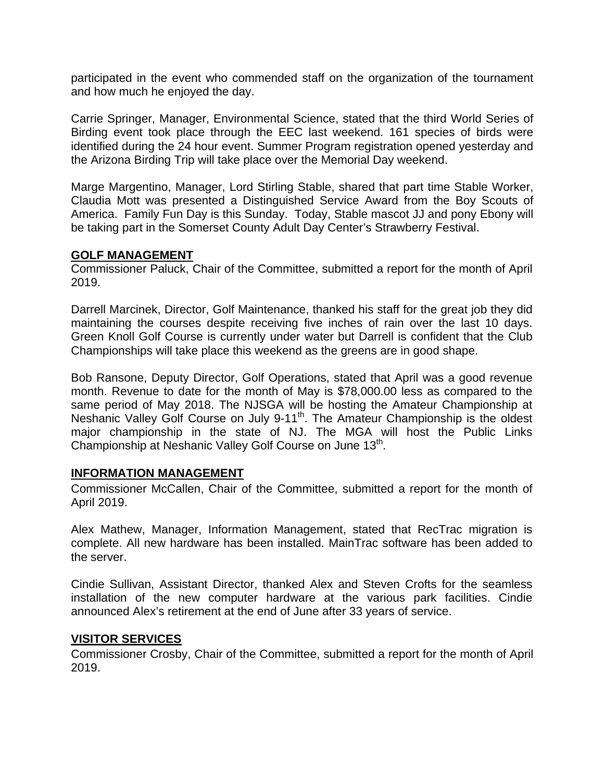participated in the event who commended staff on the organization of the tournament and how much he enjoyed the day.

Carrie Springer, Manager, Environmental Science, stated that the third World Series of Birding event took place through the EEC last weekend. 161 species of birds were identified during the 24 hour event. Summer Program registration opened yesterday and the Arizona Birding Trip will take place over the Memorial Day weekend.

Marge Margentino, Manager, Lord Stirling Stable, shared that part time Stable Worker, Claudia Mott was presented a Distinguished Service Award from the Boy Scouts of America. Family Fun Day is this Sunday. Today, Stable mascot JJ and pony Ebony will be taking part in the Somerset County Adult Day Center's Strawberry Festival.

## **GOLF MANAGEMENT**

Commissioner Paluck, Chair of the Committee, submitted a report for the month of April 2019.

Darrell Marcinek, Director, Golf Maintenance, thanked his staff for the great job they did maintaining the courses despite receiving five inches of rain over the last 10 days. Green Knoll Golf Course is currently under water but Darrell is confident that the Club Championships will take place this weekend as the greens are in good shape.

Bob Ransone, Deputy Director, Golf Operations, stated that April was a good revenue month. Revenue to date for the month of May is \$78,000.00 less as compared to the same period of May 2018. The NJSGA will be hosting the Amateur Championship at Neshanic Valley Golf Course on July 9-11<sup>th</sup>. The Amateur Championship is the oldest major championship in the state of NJ. The MGA will host the Public Links Championship at Neshanic Valley Golf Course on June 13<sup>th</sup>.

## **INFORMATION MANAGEMENT**

Commissioner McCallen, Chair of the Committee, submitted a report for the month of April 2019.

Alex Mathew, Manager, Information Management, stated that RecTrac migration is complete. All new hardware has been installed. MainTrac software has been added to the server.

Cindie Sullivan, Assistant Director, thanked Alex and Steven Crofts for the seamless installation of the new computer hardware at the various park facilities. Cindie announced Alex's retirement at the end of June after 33 years of service.

#### **VISITOR SERVICES**

Commissioner Crosby, Chair of the Committee, submitted a report for the month of April 2019.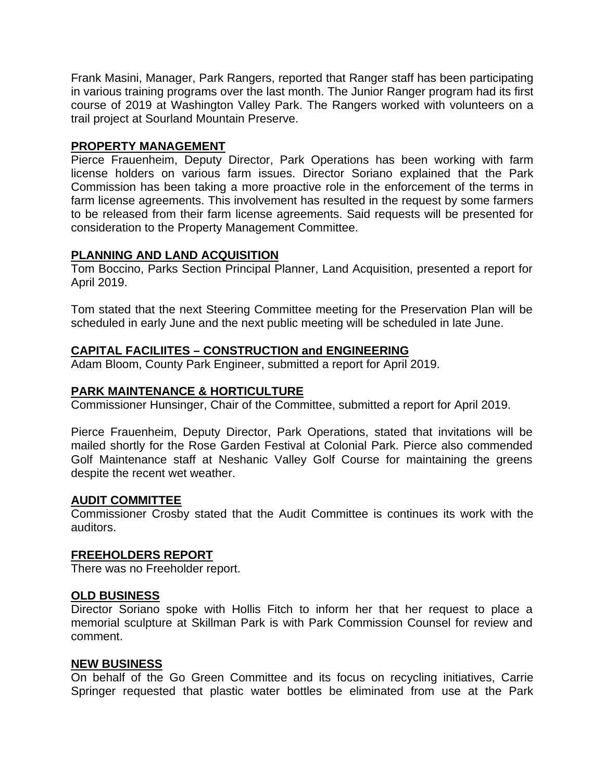Frank Masini, Manager, Park Rangers, reported that Ranger staff has been participating in various training programs over the last month. The Junior Ranger program had its first course of 2019 at Washington Valley Park. The Rangers worked with volunteers on a trail project at Sourland Mountain Preserve.

#### **PROPERTY MANAGEMENT**

Pierce Frauenheim, Deputy Director, Park Operations has been working with farm license holders on various farm issues. Director Soriano explained that the Park Commission has been taking a more proactive role in the enforcement of the terms in farm license agreements. This involvement has resulted in the request by some farmers to be released from their farm license agreements. Said requests will be presented for consideration to the Property Management Committee.

## **PLANNING AND LAND ACQUISITION**

Tom Boccino, Parks Section Principal Planner, Land Acquisition, presented a report for April 2019.

Tom stated that the next Steering Committee meeting for the Preservation Plan will be scheduled in early June and the next public meeting will be scheduled in late June.

## **CAPITAL FACILIITES – CONSTRUCTION and ENGINEERING**

Adam Bloom, County Park Engineer, submitted a report for April 2019.

#### **PARK MAINTENANCE & HORTICULTURE**

Commissioner Hunsinger, Chair of the Committee, submitted a report for April 2019.

Pierce Frauenheim, Deputy Director, Park Operations, stated that invitations will be mailed shortly for the Rose Garden Festival at Colonial Park. Pierce also commended Golf Maintenance staff at Neshanic Valley Golf Course for maintaining the greens despite the recent wet weather.

#### **AUDIT COMMITTEE**

Commissioner Crosby stated that the Audit Committee is continues its work with the auditors.

#### **FREEHOLDERS REPORT**

There was no Freeholder report.

#### **OLD BUSINESS**

Director Soriano spoke with Hollis Fitch to inform her that her request to place a memorial sculpture at Skillman Park is with Park Commission Counsel for review and comment.

#### **NEW BUSINESS**

On behalf of the Go Green Committee and its focus on recycling initiatives, Carrie Springer requested that plastic water bottles be eliminated from use at the Park